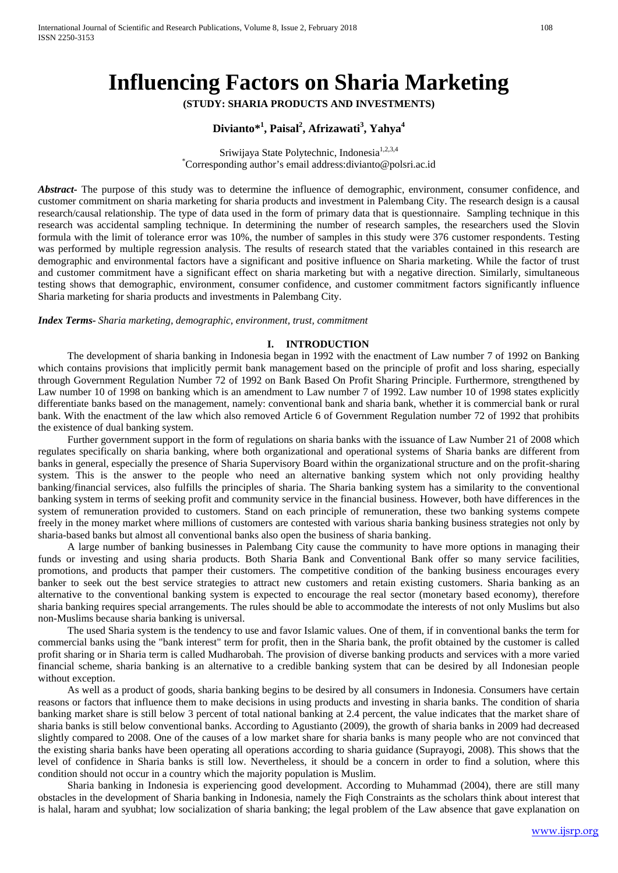# **Influencing Factors on Sharia Marketing**

**(STUDY: SHARIA PRODUCTS AND INVESTMENTS)**

# **Divianto\*1 , Paisal<sup>2</sup> , Afrizawati<sup>3</sup> , Yahya<sup>4</sup>**

Sriwijaya State Polytechnic, Indonesia<sup>1,2,3,4</sup> \* Corresponding author's email address:divianto@polsri.ac.id

*Abstract-* The purpose of this study was to determine the influence of demographic, environment, consumer confidence, and customer commitment on sharia marketing for sharia products and investment in Palembang City. The research design is a causal research/causal relationship. The type of data used in the form of primary data that is questionnaire. Sampling technique in this research was accidental sampling technique. In determining the number of research samples, the researchers used the Slovin formula with the limit of tolerance error was 10%, the number of samples in this study were 376 customer respondents. Testing was performed by multiple regression analysis. The results of research stated that the variables contained in this research are demographic and environmental factors have a significant and positive influence on Sharia marketing. While the factor of trust and customer commitment have a significant effect on sharia marketing but with a negative direction. Similarly, simultaneous testing shows that demographic, environment, consumer confidence, and customer commitment factors significantly influence Sharia marketing for sharia products and investments in Palembang City.

*Index Terms- Sharia marketing, demographic, environment, trust, commitment*

## **I. INTRODUCTION**

The development of sharia banking in Indonesia began in 1992 with the enactment of Law number 7 of 1992 on Banking which contains provisions that implicitly permit bank management based on the principle of profit and loss sharing, especially through Government Regulation Number 72 of 1992 on Bank Based On Profit Sharing Principle. Furthermore, strengthened by Law number 10 of 1998 on banking which is an amendment to Law number 7 of 1992. Law number 10 of 1998 states explicitly differentiate banks based on the management, namely: conventional bank and sharia bank, whether it is commercial bank or rural bank. With the enactment of the law which also removed Article 6 of Government Regulation number 72 of 1992 that prohibits the existence of dual banking system.

Further government support in the form of regulations on sharia banks with the issuance of Law Number 21 of 2008 which regulates specifically on sharia banking, where both organizational and operational systems of Sharia banks are different from banks in general, especially the presence of Sharia Supervisory Board within the organizational structure and on the profit-sharing system. This is the answer to the people who need an alternative banking system which not only providing healthy banking/financial services, also fulfills the principles of sharia. The Sharia banking system has a similarity to the conventional banking system in terms of seeking profit and community service in the financial business. However, both have differences in the system of remuneration provided to customers. Stand on each principle of remuneration, these two banking systems compete freely in the money market where millions of customers are contested with various sharia banking business strategies not only by sharia-based banks but almost all conventional banks also open the business of sharia banking.

A large number of banking businesses in Palembang City cause the community to have more options in managing their funds or investing and using sharia products. Both Sharia Bank and Conventional Bank offer so many service facilities, promotions, and products that pamper their customers. The competitive condition of the banking business encourages every banker to seek out the best service strategies to attract new customers and retain existing customers. Sharia banking as an alternative to the conventional banking system is expected to encourage the real sector (monetary based economy), therefore sharia banking requires special arrangements. The rules should be able to accommodate the interests of not only Muslims but also non-Muslims because sharia banking is universal.

The used Sharia system is the tendency to use and favor Islamic values. One of them, if in conventional banks the term for commercial banks using the "bank interest" term for profit, then in the Sharia bank, the profit obtained by the customer is called profit sharing or in Sharia term is called Mudharobah. The provision of diverse banking products and services with a more varied financial scheme, sharia banking is an alternative to a credible banking system that can be desired by all Indonesian people without exception.

As well as a product of goods, sharia banking begins to be desired by all consumers in Indonesia. Consumers have certain reasons or factors that influence them to make decisions in using products and investing in sharia banks. The condition of sharia banking market share is still below 3 percent of total national banking at 2.4 percent, the value indicates that the market share of sharia banks is still below conventional banks. According to Agustianto (2009), the growth of sharia banks in 2009 had decreased slightly compared to 2008. One of the causes of a low market share for sharia banks is many people who are not convinced that the existing sharia banks have been operating all operations according to sharia guidance (Suprayogi, 2008). This shows that the level of confidence in Sharia banks is still low. Nevertheless, it should be a concern in order to find a solution, where this condition should not occur in a country which the majority population is Muslim.

Sharia banking in Indonesia is experiencing good development. According to Muhammad (2004), there are still many obstacles in the development of Sharia banking in Indonesia, namely the Fiqh Constraints as the scholars think about interest that is halal, haram and syubhat; low socialization of sharia banking; the legal problem of the Law absence that gave explanation on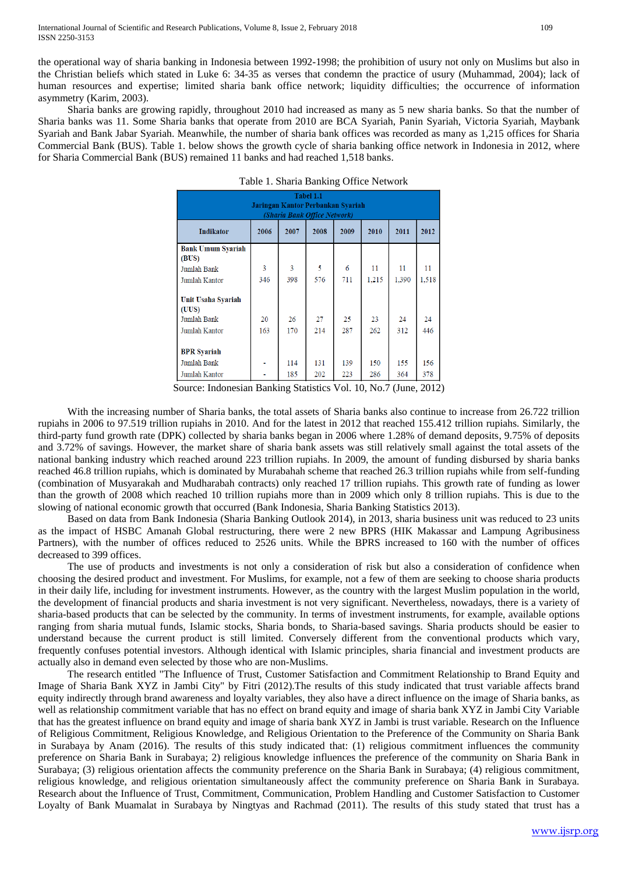the operational way of sharia banking in Indonesia between 1992-1998; the prohibition of usury not only on Muslims but also in the Christian beliefs which stated in Luke 6: 34-35 as verses that condemn the practice of usury (Muhammad, 2004); lack of human resources and expertise; limited sharia bank office network; liquidity difficulties; the occurrence of information asymmetry (Karim, 2003).

Sharia banks are growing rapidly, throughout 2010 had increased as many as 5 new sharia banks. So that the number of Sharia banks was 11. Some Sharia banks that operate from 2010 are BCA Syariah, Panin Syariah, Victoria Syariah, Maybank Syariah and Bank Jabar Syariah. Meanwhile, the number of sharia bank offices was recorded as many as 1,215 offices for Sharia Commercial Bank (BUS). Table 1. below shows the growth cycle of sharia banking office network in Indonesia in 2012, where for Sharia Commercial Bank (BUS) remained 11 banks and had reached 1,518 banks.

| Tabel 1.1<br>Jaringan Kantor Perbankan Syariah<br>(Sharia Bank Office Network) |      |      |      |      |       |       |       |
|--------------------------------------------------------------------------------|------|------|------|------|-------|-------|-------|
| <b>Indikator</b>                                                               | 2006 | 2007 | 2008 | 2009 | 2010  | 2011  | 2012  |
| <b>Bank Umum Syariah</b><br>(BUS)                                              |      |      |      |      |       |       |       |
| Jumlah Bank                                                                    | 3    | 3    | 5    | 6    | 11    | 11    | 11    |
| Jumlah Kantor                                                                  | 346  | 398  | 576  | 711  | 1.215 | 1.390 | 1,518 |
| Unit Usaha Syariah<br>(UUS)                                                    |      |      |      |      |       |       |       |
| Jumlah Bank                                                                    | 20   | 26   | 27   | 25   | 23    | 24    | 24    |
| Jumlah Kantor                                                                  | 163  | 170  | 214  | 287  | 262   | 312   | 446   |
| <b>BPR</b> Syariah                                                             |      |      |      |      |       |       |       |
| Jumlah Bank                                                                    |      | 114  | 131  | 139  | 150   | 155   | 156   |
| Jumlah Kantor                                                                  |      | 185  | 202  | 223  | 286   | 364   | 378   |

| Table 1. Sharia Banking Office Network |  |
|----------------------------------------|--|
|----------------------------------------|--|

Source: Indonesian Banking Statistics Vol. 10, No.7 (June, 2012)

With the increasing number of Sharia banks, the total assets of Sharia banks also continue to increase from 26.722 trillion rupiahs in 2006 to 97.519 trillion rupiahs in 2010. And for the latest in 2012 that reached 155.412 trillion rupiahs. Similarly, the third-party fund growth rate (DPK) collected by sharia banks began in 2006 where 1.28% of demand deposits, 9.75% of deposits and 3.72% of savings. However, the market share of sharia bank assets was still relatively small against the total assets of the national banking industry which reached around 223 trillion rupiahs. In 2009, the amount of funding disbursed by sharia banks reached 46.8 trillion rupiahs, which is dominated by Murabahah scheme that reached 26.3 trillion rupiahs while from self-funding (combination of Musyarakah and Mudharabah contracts) only reached 17 trillion rupiahs. This growth rate of funding as lower than the growth of 2008 which reached 10 trillion rupiahs more than in 2009 which only 8 trillion rupiahs. This is due to the slowing of national economic growth that occurred (Bank Indonesia, Sharia Banking Statistics 2013).

Based on data from Bank Indonesia (Sharia Banking Outlook 2014), in 2013, sharia business unit was reduced to 23 units as the impact of HSBC Amanah Global restructuring, there were 2 new BPRS (HIK Makassar and Lampung Agribusiness Partners), with the number of offices reduced to 2526 units. While the BPRS increased to 160 with the number of offices decreased to 399 offices.

The use of products and investments is not only a consideration of risk but also a consideration of confidence when choosing the desired product and investment. For Muslims, for example, not a few of them are seeking to choose sharia products in their daily life, including for investment instruments. However, as the country with the largest Muslim population in the world, the development of financial products and sharia investment is not very significant. Nevertheless, nowadays, there is a variety of sharia-based products that can be selected by the community. In terms of investment instruments, for example, available options ranging from sharia mutual funds, Islamic stocks, Sharia bonds, to Sharia-based savings. Sharia products should be easier to understand because the current product is still limited. Conversely different from the conventional products which vary, frequently confuses potential investors. Although identical with Islamic principles, sharia financial and investment products are actually also in demand even selected by those who are non-Muslims.

The research entitled "The Influence of Trust, Customer Satisfaction and Commitment Relationship to Brand Equity and Image of Sharia Bank XYZ in Jambi City" by Fitri (2012).The results of this study indicated that trust variable affects brand equity indirectly through brand awareness and loyalty variables, they also have a direct influence on the image of Sharia banks, as well as relationship commitment variable that has no effect on brand equity and image of sharia bank XYZ in Jambi City Variable that has the greatest influence on brand equity and image of sharia bank XYZ in Jambi is trust variable. Research on the Influence of Religious Commitment, Religious Knowledge, and Religious Orientation to the Preference of the Community on Sharia Bank in Surabaya by Anam (2016). The results of this study indicated that: (1) religious commitment influences the community preference on Sharia Bank in Surabaya; 2) religious knowledge influences the preference of the community on Sharia Bank in Surabaya; (3) religious orientation affects the community preference on the Sharia Bank in Surabaya; (4) religious commitment, religious knowledge, and religious orientation simultaneously affect the community preference on Sharia Bank in Surabaya. Research about the Influence of Trust, Commitment, Communication, Problem Handling and Customer Satisfaction to Customer Loyalty of Bank Muamalat in Surabaya by Ningtyas and Rachmad (2011). The results of this study stated that trust has a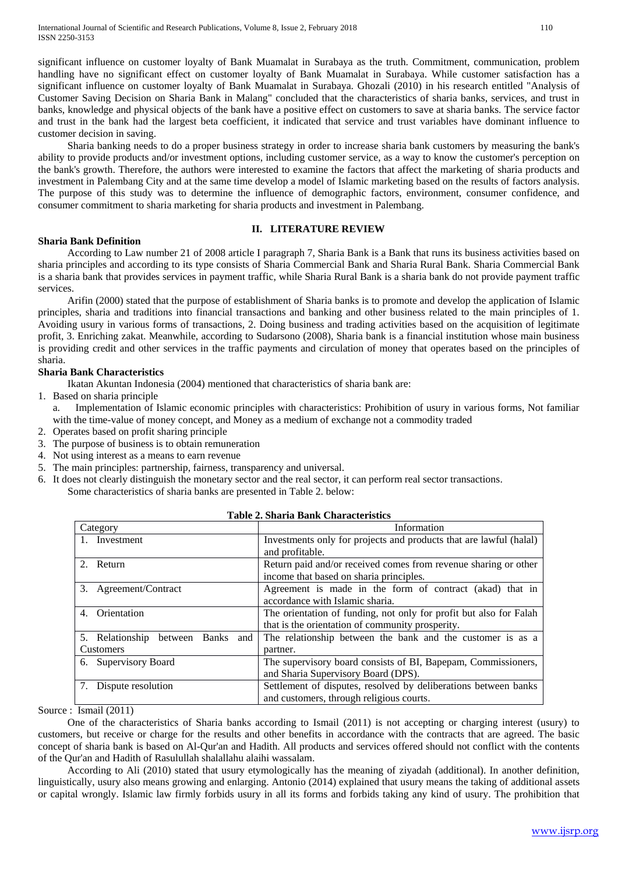significant influence on customer loyalty of Bank Muamalat in Surabaya as the truth. Commitment, communication, problem handling have no significant effect on customer loyalty of Bank Muamalat in Surabaya. While customer satisfaction has a significant influence on customer loyalty of Bank Muamalat in Surabaya. Ghozali (2010) in his research entitled "Analysis of Customer Saving Decision on Sharia Bank in Malang" concluded that the characteristics of sharia banks, services, and trust in banks, knowledge and physical objects of the bank have a positive effect on customers to save at sharia banks. The service factor and trust in the bank had the largest beta coefficient, it indicated that service and trust variables have dominant influence to customer decision in saving.

Sharia banking needs to do a proper business strategy in order to increase sharia bank customers by measuring the bank's ability to provide products and/or investment options, including customer service, as a way to know the customer's perception on the bank's growth. Therefore, the authors were interested to examine the factors that affect the marketing of sharia products and investment in Palembang City and at the same time develop a model of Islamic marketing based on the results of factors analysis. The purpose of this study was to determine the influence of demographic factors, environment, consumer confidence, and consumer commitment to sharia marketing for sharia products and investment in Palembang.

## **II. LITERATURE REVIEW**

## **Sharia Bank Definition**

According to Law number 21 of 2008 article I paragraph 7, Sharia Bank is a Bank that runs its business activities based on sharia principles and according to its type consists of Sharia Commercial Bank and Sharia Rural Bank. Sharia Commercial Bank is a sharia bank that provides services in payment traffic, while Sharia Rural Bank is a sharia bank do not provide payment traffic services.

Arifin (2000) stated that the purpose of establishment of Sharia banks is to promote and develop the application of Islamic principles, sharia and traditions into financial transactions and banking and other business related to the main principles of 1. Avoiding usury in various forms of transactions, 2. Doing business and trading activities based on the acquisition of legitimate profit, 3. Enriching zakat. Meanwhile, according to Sudarsono (2008), Sharia bank is a financial institution whose main business is providing credit and other services in the traffic payments and circulation of money that operates based on the principles of sharia.

# **Sharia Bank Characteristics**

Ikatan Akuntan Indonesia (2004) mentioned that characteristics of sharia bank are:

- 1. Based on sharia principle
	- a. Implementation of Islamic economic principles with characteristics: Prohibition of usury in various forms, Not familiar with the time-value of money concept, and Money as a medium of exchange not a commodity traded
- 2. Operates based on profit sharing principle
- 3. The purpose of business is to obtain remuneration
- 4. Not using interest as a means to earn revenue
- 5. The main principles: partnership, fairness, transparency and universal.
- 6. It does not clearly distinguish the monetary sector and the real sector, it can perform real sector transactions. Some characteristics of sharia banks are presented in Table 2. below:

| Category                             | Information                                                        |
|--------------------------------------|--------------------------------------------------------------------|
| 1. Investment                        | Investments only for projects and products that are lawful (halal) |
|                                      | and profitable.                                                    |
| 2. Return                            | Return paid and/or received comes from revenue sharing or other    |
|                                      | income that based on sharia principles.                            |
| 3. Agreement/Contract                | Agreement is made in the form of contract (akad) that in           |
|                                      | accordance with Islamic sharia.                                    |
| Orientation<br>4.                    | The orientation of funding, not only for profit but also for Falah |
|                                      | that is the orientation of community prosperity.                   |
| 5. Relationship between<br>Banks and | The relationship between the bank and the customer is as a         |
| <b>Customers</b>                     | partner.                                                           |
| 6. Supervisory Board                 | The supervisory board consists of BI, Bapepam, Commissioners,      |
|                                      | and Sharia Supervisory Board (DPS).                                |
| 7. Dispute resolution                | Settlement of disputes, resolved by deliberations between banks    |
|                                      | and customers, through religious courts.                           |

## **Table 2. Sharia Bank Characteristics**

Source : Ismail (2011)

One of the characteristics of Sharia banks according to Ismail (2011) is not accepting or charging interest (usury) to customers, but receive or charge for the results and other benefits in accordance with the contracts that are agreed. The basic concept of sharia bank is based on Al-Qur'an and Hadith. All products and services offered should not conflict with the contents of the Qur'an and Hadith of Rasulullah shalallahu alaihi wassalam.

According to Ali (2010) stated that usury etymologically has the meaning of ziyadah (additional). In another definition, linguistically, usury also means growing and enlarging. Antonio (2014) explained that usury means the taking of additional assets or capital wrongly. Islamic law firmly forbids usury in all its forms and forbids taking any kind of usury. The prohibition that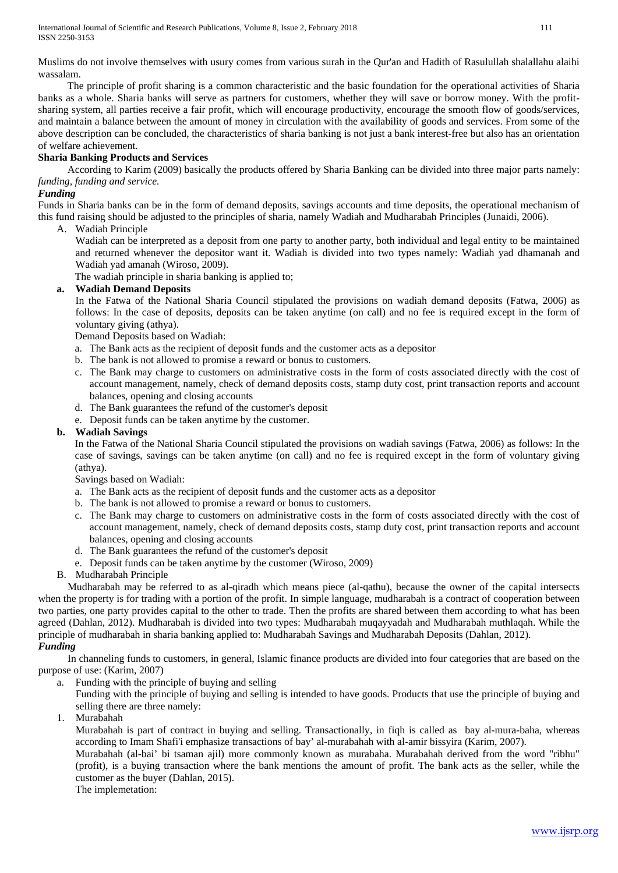Muslims do not involve themselves with usury comes from various surah in the Qur'an and Hadith of Rasulullah shalallahu alaihi wassalam.

The principle of profit sharing is a common characteristic and the basic foundation for the operational activities of Sharia banks as a whole. Sharia banks will serve as partners for customers, whether they will save or borrow money. With the profitsharing system, all parties receive a fair profit, which will encourage productivity, encourage the smooth flow of goods/services, and maintain a balance between the amount of money in circulation with the availability of goods and services. From some of the above description can be concluded, the characteristics of sharia banking is not just a bank interest-free but also has an orientation of welfare achievement.

## **Sharia Banking Products and Services**

According to Karim (2009) basically the products offered by Sharia Banking can be divided into three major parts namely: *funding, funding and service.*

## *Funding*

Funds in Sharia banks can be in the form of demand deposits, savings accounts and time deposits, the operational mechanism of this fund raising should be adjusted to the principles of sharia, namely Wadiah and Mudharabah Principles (Junaidi, 2006).

A. Wadiah Principle

Wadiah can be interpreted as a deposit from one party to another party, both individual and legal entity to be maintained and returned whenever the depositor want it. Wadiah is divided into two types namely: Wadiah yad dhamanah and Wadiah yad amanah (Wiroso, 2009).

The wadiah principle in sharia banking is applied to;

## **a. Wadiah Demand Deposits**

In the Fatwa of the National Sharia Council stipulated the provisions on wadiah demand deposits (Fatwa, 2006) as follows: In the case of deposits, deposits can be taken anytime (on call) and no fee is required except in the form of voluntary giving (athya).

Demand Deposits based on Wadiah:

- a. The Bank acts as the recipient of deposit funds and the customer acts as a depositor
- b. The bank is not allowed to promise a reward or bonus to customers.
- c. The Bank may charge to customers on administrative costs in the form of costs associated directly with the cost of account management, namely, check of demand deposits costs, stamp duty cost, print transaction reports and account balances, opening and closing accounts
- d. The Bank guarantees the refund of the customer's deposit
- e. Deposit funds can be taken anytime by the customer.

## **b. Wadiah Savings**

In the Fatwa of the National Sharia Council stipulated the provisions on wadiah savings (Fatwa, 2006) as follows: In the case of savings, savings can be taken anytime (on call) and no fee is required except in the form of voluntary giving (athya).

Savings based on Wadiah:

- a. The Bank acts as the recipient of deposit funds and the customer acts as a depositor
- b. The bank is not allowed to promise a reward or bonus to customers.
- c. The Bank may charge to customers on administrative costs in the form of costs associated directly with the cost of account management, namely, check of demand deposits costs, stamp duty cost, print transaction reports and account balances, opening and closing accounts
- d. The Bank guarantees the refund of the customer's deposit
- e. Deposit funds can be taken anytime by the customer (Wiroso, 2009)
- B. Mudharabah Principle

Mudharabah may be referred to as al-qiradh which means piece (al-qathu), because the owner of the capital intersects when the property is for trading with a portion of the profit. In simple language, mudharabah is a contract of cooperation between two parties, one party provides capital to the other to trade. Then the profits are shared between them according to what has been agreed (Dahlan, 2012). Mudharabah is divided into two types: Mudharabah muqayyadah and Mudharabah muthlaqah. While the principle of mudharabah in sharia banking applied to: Mudharabah Savings and Mudharabah Deposits (Dahlan, 2012).

*Funding*

In channeling funds to customers, in general, Islamic finance products are divided into four categories that are based on the purpose of use: (Karim, 2007)

- a. Funding with the principle of buying and selling
	- Funding with the principle of buying and selling is intended to have goods. Products that use the principle of buying and selling there are three namely:
- 1. Murabahah

Murabahah is part of contract in buying and selling. Transactionally, in fiqh is called as bay al-mura-baha, whereas according to Imam Shafi'i emphasize transactions of bay' al-murabahah with al-amir bissyira (Karim, 2007).

Murabahah (al-bai' bi tsaman ajil) more commonly known as murabaha. Murabahah derived from the word "ribhu" (profit), is a buying transaction where the bank mentions the amount of profit. The bank acts as the seller, while the customer as the buyer (Dahlan, 2015).

The implemetation: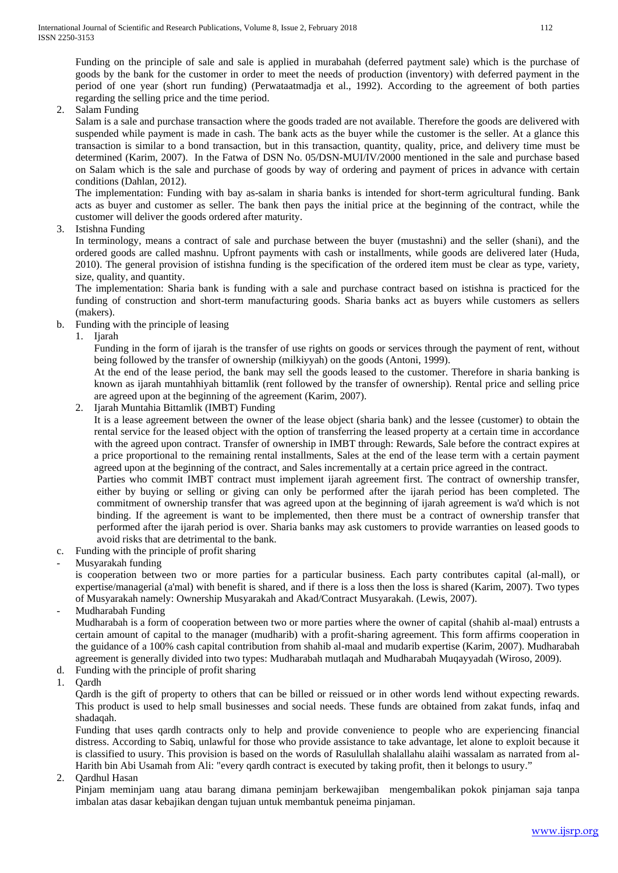Funding on the principle of sale and sale is applied in murabahah (deferred paytment sale) which is the purchase of goods by the bank for the customer in order to meet the needs of production (inventory) with deferred payment in the period of one year (short run funding) (Perwataatmadja et al., 1992). According to the agreement of both parties regarding the selling price and the time period.

2. Salam Funding

Salam is a sale and purchase transaction where the goods traded are not available. Therefore the goods are delivered with suspended while payment is made in cash. The bank acts as the buyer while the customer is the seller. At a glance this transaction is similar to a bond transaction, but in this transaction, quantity, quality, price, and delivery time must be determined (Karim, 2007). In the Fatwa of DSN No. 05/DSN-MUI/IV/2000 mentioned in the sale and purchase based on Salam which is the sale and purchase of goods by way of ordering and payment of prices in advance with certain conditions (Dahlan, 2012).

The implementation: Funding with bay as-salam in sharia banks is intended for short-term agricultural funding. Bank acts as buyer and customer as seller. The bank then pays the initial price at the beginning of the contract, while the customer will deliver the goods ordered after maturity.

3. Istishna Funding

In terminology, means a contract of sale and purchase between the buyer (mustashni) and the seller (shani), and the ordered goods are called mashnu. Upfront payments with cash or installments, while goods are delivered later (Huda, 2010). The general provision of istishna funding is the specification of the ordered item must be clear as type, variety, size, quality, and quantity.

The implementation: Sharia bank is funding with a sale and purchase contract based on istishna is practiced for the funding of construction and short-term manufacturing goods. Sharia banks act as buyers while customers as sellers (makers).

- b. Funding with the principle of leasing
	- 1. Ijarah

Funding in the form of ijarah is the transfer of use rights on goods or services through the payment of rent, without being followed by the transfer of ownership (milkiyyah) on the goods (Antoni, 1999).

At the end of the lease period, the bank may sell the goods leased to the customer. Therefore in sharia banking is known as ijarah muntahhiyah bittamlik (rent followed by the transfer of ownership). Rental price and selling price are agreed upon at the beginning of the agreement (Karim, 2007).

2. Ijarah Muntahia Bittamlik (IMBT) Funding

It is a lease agreement between the owner of the lease object (sharia bank) and the lessee (customer) to obtain the rental service for the leased object with the option of transferring the leased property at a certain time in accordance with the agreed upon contract. Transfer of ownership in IMBT through: Rewards, Sale before the contract expires at a price proportional to the remaining rental installments, Sales at the end of the lease term with a certain payment agreed upon at the beginning of the contract, and Sales incrementally at a certain price agreed in the contract.

Parties who commit IMBT contract must implement ijarah agreement first. The contract of ownership transfer, either by buying or selling or giving can only be performed after the ijarah period has been completed. The commitment of ownership transfer that was agreed upon at the beginning of ijarah agreement is wa'd which is not binding. If the agreement is want to be implemented, then there must be a contract of ownership transfer that performed after the ijarah period is over. Sharia banks may ask customers to provide warranties on leased goods to avoid risks that are detrimental to the bank.

- c. Funding with the principle of profit sharing
- Musyarakah funding

is cooperation between two or more parties for a particular business. Each party contributes capital (al-mall), or expertise/managerial (a'mal) with benefit is shared, and if there is a loss then the loss is shared (Karim, 2007). Two types of Musyarakah namely: Ownership Musyarakah and Akad/Contract Musyarakah. (Lewis, 2007).

- Mudharabah Funding

Mudharabah is a form of cooperation between two or more parties where the owner of capital (shahib al-maal) entrusts a certain amount of capital to the manager (mudharib) with a profit-sharing agreement. This form affirms cooperation in the guidance of a 100% cash capital contribution from shahib al-maal and mudarib expertise (Karim, 2007). Mudharabah agreement is generally divided into two types: Mudharabah mutlaqah and Mudharabah Muqayyadah (Wiroso, 2009).

- d. Funding with the principle of profit sharing
- 1. Qardh

Qardh is the gift of property to others that can be billed or reissued or in other words lend without expecting rewards. This product is used to help small businesses and social needs. These funds are obtained from zakat funds, infaq and shadaqah.

Funding that uses qardh contracts only to help and provide convenience to people who are experiencing financial distress. According to Sabiq, unlawful for those who provide assistance to take advantage, let alone to exploit because it is classified to usury. This provision is based on the words of Rasulullah shalallahu alaihi wassalam as narrated from al-Harith bin Abi Usamah from Ali: "every qardh contract is executed by taking profit, then it belongs to usury."

2. Qardhul Hasan

Pinjam meminjam uang atau barang dimana peminjam berkewajiban mengembalikan pokok pinjaman saja tanpa imbalan atas dasar kebajikan dengan tujuan untuk membantuk peneima pinjaman.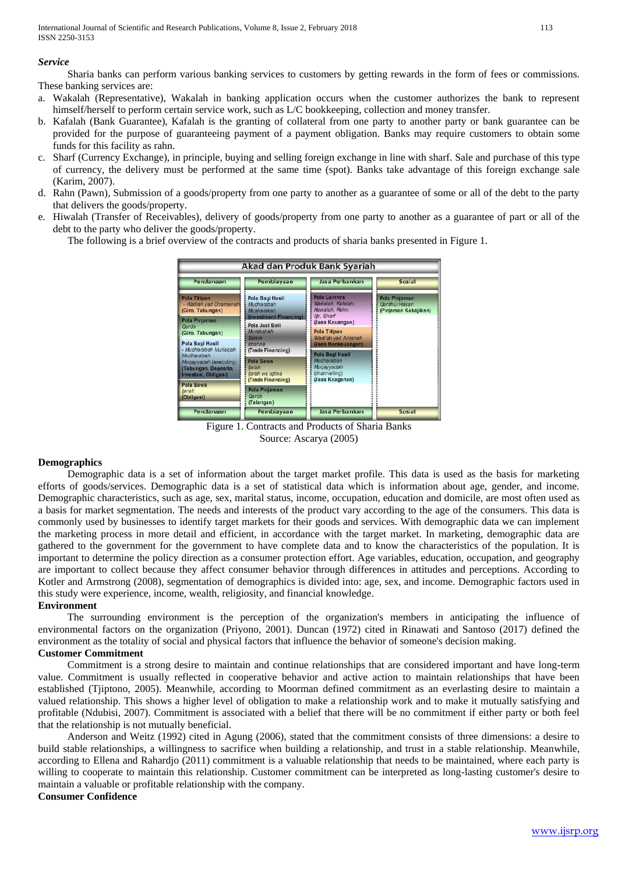#### *Service*

Sharia banks can perform various banking services to customers by getting rewards in the form of fees or commissions. These banking services are:

- a. Wakalah (Representative), Wakalah in banking application occurs when the customer authorizes the bank to represent himself/herself to perform certain service work, such as L/C bookkeeping, collection and money transfer.
- b. Kafalah (Bank Guarantee), Kafalah is the granting of collateral from one party to another party or bank guarantee can be provided for the purpose of guaranteeing payment of a payment obligation. Banks may require customers to obtain some funds for this facility as rahn.
- c. Sharf (Currency Exchange), in principle, buying and selling foreign exchange in line with sharf. Sale and purchase of this type of currency, the delivery must be performed at the same time (spot). Banks take advantage of this foreign exchange sale (Karim, 2007).
- d. Rahn (Pawn), Submission of a goods/property from one party to another as a guarantee of some or all of the debt to the party that delivers the goods/property.
- e. Hiwalah (Transfer of Receivables), delivery of goods/property from one party to another as a guarantee of part or all of the debt to the party who deliver the goods/property.

The following is a brief overview of the contracts and products of sharia banks presented in Figure 1.

| Akad dan Produk Bank Syariah                                                                                                                                                                                                                   |                                                                       |                                                                    |                                                               |  |
|------------------------------------------------------------------------------------------------------------------------------------------------------------------------------------------------------------------------------------------------|-----------------------------------------------------------------------|--------------------------------------------------------------------|---------------------------------------------------------------|--|
| Pendanaan                                                                                                                                                                                                                                      | Pembiayaan                                                            | Jasa Perbankan                                                     | Sosial                                                        |  |
| Pola Titipan<br>- Wadiah yad Dhamanah:<br>(Giro, Tabungan)                                                                                                                                                                                     | <b>Pola Bagi Hasil</b><br>Mudharabah<br>Musharakah                    | Pola Lainnya<br>Wakalah, Kafalah,<br>Hawalah, Rahn.                | Pola Pinjaman<br><b>Oardhul Hasan</b><br>(Pinjaman Kebajikan) |  |
| Pola Pinjaman<br>Oardh<br>(Giro, Tabungan)                                                                                                                                                                                                     | (Investment Financing)<br><b>Pola Jual Beli</b><br>Murabahah<br>Salam | Ur. Sharf<br>(Jasa Keuangan)<br>Pola Titipan<br>Wadi'ah yad Amanah |                                                               |  |
| Pola Bagi Hasil<br>ktishna<br>- Mudharabah Mutlagah<br>(Trade Financing)<br>Mudharabah<br><b>Pola Sewa</b><br>Mugayyadah (executing)<br><b>fiarah</b><br>(Tabungan, Deposito,<br>ljarah wa Iqtina<br>Investasi, Obligasi)<br>(Trade Financing) |                                                                       | (Jasa Nonkeuangan)<br>Pola Bagi Hasil                              |                                                               |  |
|                                                                                                                                                                                                                                                | Mudharabah<br>Mugayyadah<br>(channelling)<br>(Jasa Keagenan)          |                                                                    |                                                               |  |
| Pola Sewa<br>liarah<br>(Obligasi)                                                                                                                                                                                                              | <b>Pola Pinjaman</b><br>Cardh<br>(Talangan)                           |                                                                    |                                                               |  |
| Pendanaan                                                                                                                                                                                                                                      | Pembiayaan                                                            | Jasa Perbankan                                                     | Sosial                                                        |  |

Figure 1. Contracts and Products of Sharia Banks Source: Ascarya (2005)

#### **Demographics**

Demographic data is a set of information about the target market profile. This data is used as the basis for marketing efforts of goods/services. Demographic data is a set of statistical data which is information about age, gender, and income. Demographic characteristics, such as age, sex, marital status, income, occupation, education and domicile, are most often used as a basis for market segmentation. The needs and interests of the product vary according to the age of the consumers. This data is commonly used by businesses to identify target markets for their goods and services. With demographic data we can implement the marketing process in more detail and efficient, in accordance with the target market. In marketing, demographic data are gathered to the government for the government to have complete data and to know the characteristics of the population. It is important to determine the policy direction as a consumer protection effort. Age variables, education, occupation, and geography are important to collect because they affect consumer behavior through differences in attitudes and perceptions. According to Kotler and Armstrong (2008), segmentation of demographics is divided into: age, sex, and income. Demographic factors used in this study were experience, income, wealth, religiosity, and financial knowledge.

#### **Environment**

The surrounding environment is the perception of the organization's members in anticipating the influence of environmental factors on the organization (Priyono, 2001). Duncan (1972) cited in Rinawati and Santoso (2017) defined the environment as the totality of social and physical factors that influence the behavior of someone's decision making.

# **Customer Commitment**

Commitment is a strong desire to maintain and continue relationships that are considered important and have long-term value. Commitment is usually reflected in cooperative behavior and active action to maintain relationships that have been established (Tjiptono, 2005). Meanwhile, according to Moorman defined commitment as an everlasting desire to maintain a valued relationship. This shows a higher level of obligation to make a relationship work and to make it mutually satisfying and profitable (Ndubisi, 2007). Commitment is associated with a belief that there will be no commitment if either party or both feel that the relationship is not mutually beneficial.

Anderson and Weitz (1992) cited in Agung (2006), stated that the commitment consists of three dimensions: a desire to build stable relationships, a willingness to sacrifice when building a relationship, and trust in a stable relationship. Meanwhile, according to Ellena and Rahardjo (2011) commitment is a valuable relationship that needs to be maintained, where each party is willing to cooperate to maintain this relationship. Customer commitment can be interpreted as long-lasting customer's desire to maintain a valuable or profitable relationship with the company.

#### **Consumer Confidence**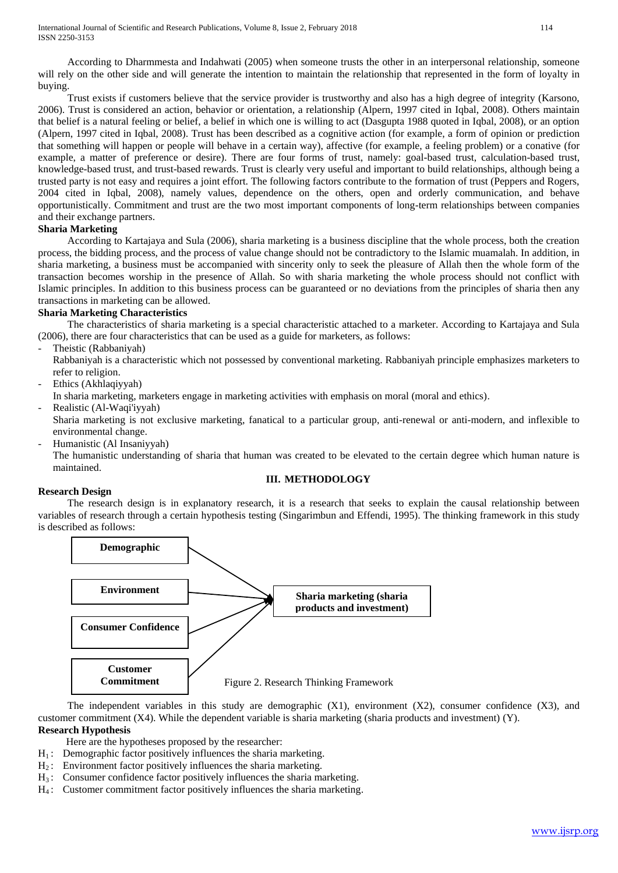According to Dharmmesta and Indahwati (2005) when someone trusts the other in an interpersonal relationship, someone will rely on the other side and will generate the intention to maintain the relationship that represented in the form of loyalty in buying.

Trust exists if customers believe that the service provider is trustworthy and also has a high degree of integrity (Karsono, 2006). Trust is considered an action, behavior or orientation, a relationship (Alpern, 1997 cited in Iqbal, 2008). Others maintain that belief is a natural feeling or belief, a belief in which one is willing to act (Dasgupta 1988 quoted in Iqbal, 2008), or an option (Alpern, 1997 cited in Iqbal, 2008). Trust has been described as a cognitive action (for example, a form of opinion or prediction that something will happen or people will behave in a certain way), affective (for example, a feeling problem) or a conative (for example, a matter of preference or desire). There are four forms of trust, namely: goal-based trust, calculation-based trust, knowledge-based trust, and trust-based rewards. Trust is clearly very useful and important to build relationships, although being a trusted party is not easy and requires a joint effort. The following factors contribute to the formation of trust (Peppers and Rogers, 2004 cited in Iqbal, 2008), namely values, dependence on the others, open and orderly communication, and behave opportunistically. Commitment and trust are the two most important components of long-term relationships between companies and their exchange partners.

#### **Sharia Marketing**

According to Kartajaya and Sula (2006), sharia marketing is a business discipline that the whole process, both the creation process, the bidding process, and the process of value change should not be contradictory to the Islamic muamalah. In addition, in sharia marketing, a business must be accompanied with sincerity only to seek the pleasure of Allah then the whole form of the transaction becomes worship in the presence of Allah. So with sharia marketing the whole process should not conflict with Islamic principles. In addition to this business process can be guaranteed or no deviations from the principles of sharia then any transactions in marketing can be allowed.

#### **Sharia Marketing Characteristics**

The characteristics of sharia marketing is a special characteristic attached to a marketer. According to Kartajaya and Sula (2006), there are four characteristics that can be used as a guide for marketers, as follows:

- Theistic (Rabbaniyah)

Rabbaniyah is a characteristic which not possessed by conventional marketing. Rabbaniyah principle emphasizes marketers to refer to religion.

- Ethics (Akhlaqiyyah)
- In sharia marketing, marketers engage in marketing activities with emphasis on moral (moral and ethics).
- Realistic (Al-Waqi'iyyah)

Sharia marketing is not exclusive marketing, fanatical to a particular group, anti-renewal or anti-modern, and inflexible to environmental change.

- Humanistic (Al Insaniyyah)

The humanistic understanding of sharia that human was created to be elevated to the certain degree which human nature is maintained.

## **III. METHODOLOGY**

#### **Research Design**

The research design is in explanatory research, it is a research that seeks to explain the causal relationship between variables of research through a certain hypothesis testing (Singarimbun and Effendi, 1995). The thinking framework in this study is described as follows:



The independent variables in this study are demographic (X1), environment (X2), consumer confidence (X3), and customer commitment (X4). While the dependent variable is sharia marketing (sharia products and investment) (Y).

# **Research Hypothesis**

Here are the hypotheses proposed by the researcher:

- $H_1$ : Demographic factor positively influences the sharia marketing.
- $H_2$ : Environment factor positively influences the sharia marketing.
- $H_3$ : Consumer confidence factor positively influences the sharia marketing.
- $H_4$ : Customer commitment factor positively influences the sharia marketing.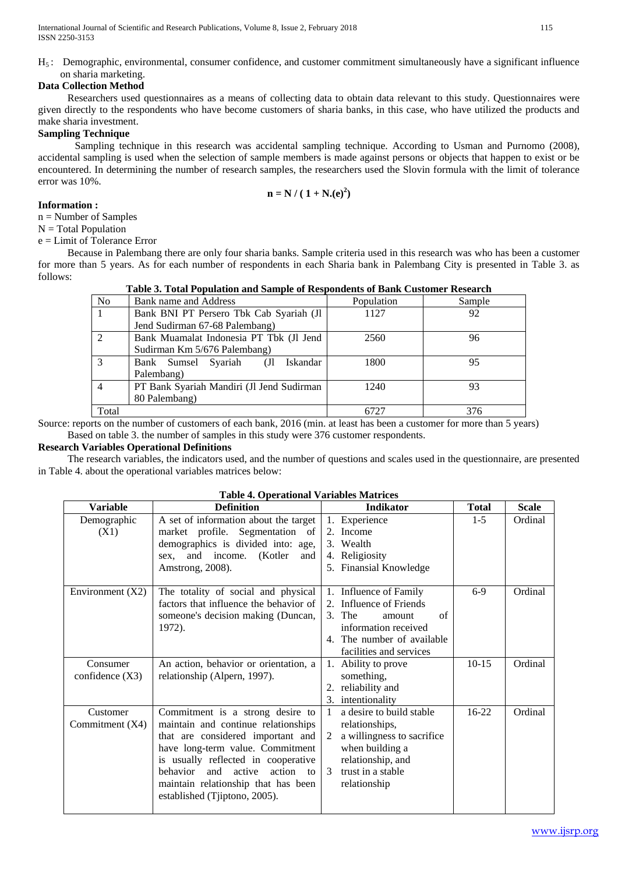$H<sub>5</sub>$ : Demographic, environmental, consumer confidence, and customer commitment simultaneously have a significant influence on sharia marketing.

# **Data Collection Method**

Researchers used questionnaires as a means of collecting data to obtain data relevant to this study. Questionnaires were given directly to the respondents who have become customers of sharia banks, in this case, who have utilized the products and make sharia investment.

# **Sampling Technique**

Sampling technique in this research was accidental sampling technique. According to Usman and Purnomo (2008), accidental sampling is used when the selection of sample members is made against persons or objects that happen to exist or be encountered. In determining the number of research samples, the researchers used the Slovin formula with the limit of tolerance error was 10%.

$$
n = N / (1 + N(e)^2)
$$

## **Information :**

n = Number of Samples

 $N = Total Population$ 

e = Limit of Tolerance Error

Because in Palembang there are only four sharia banks. Sample criteria used in this research was who has been a customer for more than 5 years. As for each number of respondents in each Sharia bank in Palembang City is presented in Table 3. as follows:

## **Table 3. Total Population and Sample of Respondents of Bank Customer Research**

| <b>No</b> | Bank name and Address                     | Population | Sample |
|-----------|-------------------------------------------|------------|--------|
|           | Bank BNI PT Persero Tbk Cab Syariah (Jl   | 1127       | 92     |
|           | Jend Sudirman 67-68 Palembang)            |            |        |
|           | Bank Muamalat Indonesia PT Tbk (Jl Jend   | 2560       | 96     |
|           | Sudirman Km 5/676 Palembang)              |            |        |
|           | Iskandar<br>Bank Sumsel Syariah<br>(J)    | 1800       | 95     |
|           | Palembang)                                |            |        |
|           | PT Bank Syariah Mandiri (Jl Jend Sudirman | 1240       | 93     |
|           | 80 Palembang)                             |            |        |
| Total     |                                           | 6727       | 376    |

Source: reports on the number of customers of each bank, 2016 (min. at least has been a customer for more than 5 years) Based on table 3. the number of samples in this study were 376 customer respondents.

# **Research Variables Operational Definitions**

The research variables, the indicators used, and the number of questions and scales used in the questionnaire, are presented in Table 4. about the operational variables matrices below:

| <b>Variable</b>               | <b>Definition</b>                                                                                                                                                                                                                                                                                         | <b>Indikator</b>                                                                                                                                                | <b>Total</b> | <b>Scale</b> |
|-------------------------------|-----------------------------------------------------------------------------------------------------------------------------------------------------------------------------------------------------------------------------------------------------------------------------------------------------------|-----------------------------------------------------------------------------------------------------------------------------------------------------------------|--------------|--------------|
| Demographic<br>(X1)           | A set of information about the target<br>market profile. Segmentation of<br>demographics is divided into: age,<br>and income.<br>(Kotler)<br>and<br>sex,<br>Amstrong, 2008).                                                                                                                              | 1. Experience<br>2. Income<br>3. Wealth<br>4. Religiosity<br>5. Finansial Knowledge                                                                             | $1 - 5$      | Ordinal      |
| Environment $(X2)$            | The totality of social and physical<br>factors that influence the behavior of<br>someone's decision making (Duncan,<br>1972).                                                                                                                                                                             | 1. Influence of Family<br>2. Influence of Friends<br>3. The<br>of<br>amount<br>information received<br>4. The number of available<br>facilities and services    | $6-9$        | Ordinal      |
| Consumer<br>confidence $(X3)$ | An action, behavior or orientation, a<br>relationship (Alpern, 1997).                                                                                                                                                                                                                                     | 1. Ability to prove<br>something,<br>reliability and<br>2.<br>3. intentionality                                                                                 | $10 - 15$    | Ordinal      |
| Customer<br>Commitment $(X4)$ | Commitment is a strong desire to<br>maintain and continue relationships<br>that are considered important and<br>have long-term value. Commitment<br>is usually reflected in cooperative<br>behavior<br>and<br>active<br>action to<br>maintain relationship that has been<br>established (Tiiptono, 2005). | a desire to build stable<br>relationships,<br>a willingness to sacrifice<br>2<br>when building a<br>relationship, and<br>trust in a stable<br>3<br>relationship | 16-22        | Ordinal      |

## **Table 4. Operational Variables Matrices**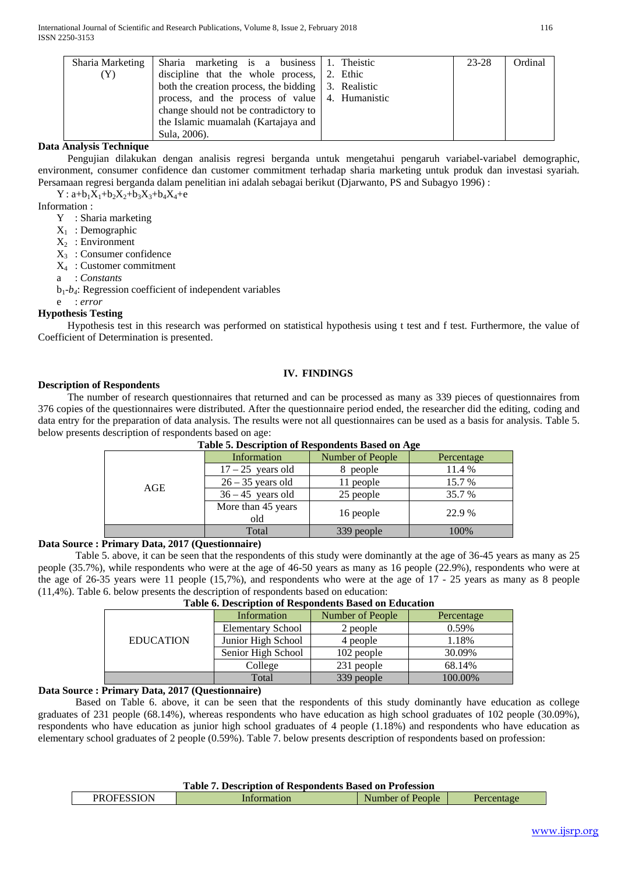| Sharia Marketing | Sharia marketing is a business 1. Theistic                   | 23-28 | Ordinal |
|------------------|--------------------------------------------------------------|-------|---------|
| $(\Upsilon)$     | discipline that the whole process, $\vert$ 2. Ethic          |       |         |
|                  | both the creation process, the bidding $\vert 3$ . Realistic |       |         |
|                  | process, and the process of value   4. Humanistic            |       |         |
|                  | change should not be contradictory to                        |       |         |
|                  | the Islamic muamalah (Kartajaya and                          |       |         |
|                  | Sula, 2006).                                                 |       |         |

## **Data Analysis Technique**

Pengujian dilakukan dengan analisis regresi berganda untuk mengetahui pengaruh variabel-variabel demographic, environment, consumer confidence dan customer commitment terhadap sharia marketing untuk produk dan investasi syariah*.*  Persamaan regresi berganda dalam penelitian ini adalah sebagai berikut (Djarwanto, PS and Subagyo 1996) :

 $Y: a+b_1X_1+b_2X_2+b_3X_3+b_4X_4+e$ 

Information :

Y : Sharia marketing

 $X_1$ : Demographic

 $X_2$  : Environment

 $X_3$ : Consumer confidence

X4 : Customer commitment

a : *Constants*

 $b_1-b_4$ : Regression coefficient of independent variables

e : *error*

#### **Hypothesis Testing**

Hypothesis test in this research was performed on statistical hypothesis using t test and f test. Furthermore, the value of Coefficient of Determination is presented.

#### **IV. FINDINGS**

#### **Description of Respondents**

The number of research questionnaires that returned and can be processed as many as 339 pieces of questionnaires from 376 copies of the questionnaires were distributed. After the questionnaire period ended, the researcher did the editing, coding and data entry for the preparation of data analysis. The results were not all questionnaires can be used as a basis for analysis. Table 5. below presents description of respondents based on age:

|     | Information               | Number of People | -<br>Percentage |
|-----|---------------------------|------------------|-----------------|
|     | $17 - 25$ years old       | people           | 11.4 %          |
| AGE | $26 - 35$ years old       | 11 people        | 15.7 %          |
|     | $36 - 45$ years old       | 25 people        | 35.7 %          |
|     | More than 45 years<br>old | 16 people        | 22.9 %          |
|     | Total                     | 339 people       | 100%            |

#### **Table 5. Description of Respondents Based on Age**

**Data Source : Primary Data, 2017 (Questionnaire)**

Table 5. above, it can be seen that the respondents of this study were dominantly at the age of 36-45 years as many as 25 people (35.7%), while respondents who were at the age of 46-50 years as many as 16 people (22.9%), respondents who were at the age of 26-35 years were 11 people (15,7%), and respondents who were at the age of 17 - 25 years as many as 8 people (11,4%). Table 6. below presents the description of respondents based on education:

| <b>EDUCATION</b> | Information              | Number of People | Percentage |
|------------------|--------------------------|------------------|------------|
|                  | <b>Elementary School</b> | 2 people         | 0.59%      |
|                  | Junior High School       | 4 people         | 1.18%      |
|                  | Senior High School       | 102 people       | 30.09%     |
|                  | College                  | 231 people       | 68.14%     |
|                  | Total                    | 339 people       | 100.00%    |

#### **Table 6. Description of Respondents Based on Education**

## **Data Source : Primary Data, 2017 (Questionnaire)**

Based on Table 6. above, it can be seen that the respondents of this study dominantly have education as college graduates of 231 people (68.14%), whereas respondents who have education as high school graduates of 102 people (30.09%), respondents who have education as junior high school graduates of 4 people (1.18%) and respondents who have education as elementary school graduates of 2 people (0.59%). Table 7. below presents description of respondents based on profession:

| <b>PROFESSION</b><br>People<br>tage<br>unpe.<br>чиот.<br>. |
|------------------------------------------------------------|
|------------------------------------------------------------|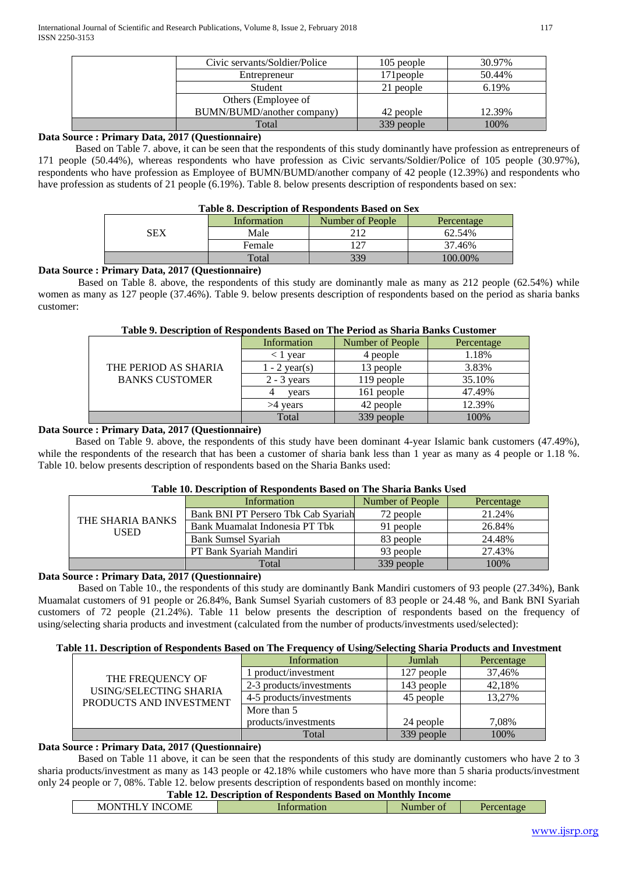| Civic servants/Soldier/Police | 105 people | 30.97% |
|-------------------------------|------------|--------|
| Entrepreneur                  | 171 people | 50.44% |
| Student                       | 21 people  | 6.19%  |
| Others (Employee of           |            |        |
| BUMN/BUMD/another company)    | 42 people  | 12.39% |
| Total                         | 339 people | 100%   |

## **Data Source : Primary Data, 2017 (Questionnaire)**

Based on Table 7. above, it can be seen that the respondents of this study dominantly have profession as entrepreneurs of 171 people (50.44%), whereas respondents who have profession as Civic servants/Soldier/Police of 105 people (30.97%), respondents who have profession as Employee of BUMN/BUMD/another company of 42 people (12.39%) and respondents who have profession as students of 21 people (6.19%). Table 8. below presents description of respondents based on sex:

#### **Table 8. Description of Respondents Based on Sex**

|     | Information | Number of People | Percentage |
|-----|-------------|------------------|------------|
| SEX | Male        | 212              | 62.54%     |
|     | Female      | $\cdot$ $\sim$   | 37.46%     |
|     | Total       | 339              | 100.00%    |

## **Data Source : Primary Data, 2017 (Questionnaire)**

Based on Table 8. above, the respondents of this study are dominantly male as many as 212 people (62.54%) while women as many as 127 people (37.46%). Table 9. below presents description of respondents based on the period as sharia banks customer:

| Tuote ) i Description of Kespongenes Dusea on The I crica as Sharia Dumbs Castomer |                 |                  |            |
|------------------------------------------------------------------------------------|-----------------|------------------|------------|
|                                                                                    | Information     | Number of People | Percentage |
|                                                                                    | vear            | 4 people         | 1.18%      |
| THE PERIOD AS SHARIA                                                               | $1 - 2$ year(s) | 13 people        | 3.83%      |
| <b>BANKS CUSTOMER</b>                                                              | $2 - 3$ years   | 119 people       | 35.10%     |
|                                                                                    | vears           | 161 people       | 47.49%     |
|                                                                                    | >4 vears        | 42 people        | 12.39%     |
|                                                                                    | Total           | 339 people       | 100%       |

#### **Table 9. Description of Respondents Based on The Period as Sharia Banks Customer**

# **Data Source : Primary Data, 2017 (Questionnaire)**

Based on Table 9. above, the respondents of this study have been dominant 4-year Islamic bank customers (47.49%), while the respondents of the research that has been a customer of sharia bank less than 1 year as many as 4 people or 1.18 %. Table 10. below presents description of respondents based on the Sharia Banks used:

## **Table 10. Description of Respondents Based on The Sharia Banks Used**

|                  | Information                         | Number of People | Percentage |
|------------------|-------------------------------------|------------------|------------|
| THE SHARIA BANKS | Bank BNI PT Persero Tbk Cab Syariah | 72 people        | 21.24%     |
| USED             | Bank Muamalat Indonesia PT Tbk      | 91 people        | 26.84%     |
|                  | <b>Bank Sumsel Syariah</b>          | 83 people        | 24.48%     |
|                  | PT Bank Svariah Mandiri             | 93 people        | 27.43%     |
|                  | Total                               | 339 people       | 100%       |

# **Data Source : Primary Data, 2017 (Questionnaire)**

Based on Table 10., the respondents of this study are dominantly Bank Mandiri customers of 93 people (27.34%), Bank Muamalat customers of 91 people or 26.84%, Bank Sumsel Syariah customers of 83 people or 24.48 %, and Bank BNI Syariah customers of 72 people (21.24%). Table 11 below presents the description of respondents based on the frequency of using/selecting sharia products and investment (calculated from the number of products/investments used/selected):

#### **Table 11. Description of Respondents Based on The Frequency of Using/Selecting Sharia Products and Investment**

|                         | Information              | Jumlah     | Percentage |
|-------------------------|--------------------------|------------|------------|
| THE FREQUENCY OF        | product/investment       | 127 people | 37.46%     |
| USING/SELECTING SHARIA  | 2-3 products/investments | 143 people | 42.18%     |
| PRODUCTS AND INVESTMENT | 4-5 products/investments | 45 people  | 13.27%     |
|                         | More than 5              |            |            |
|                         | products/investments     | 24 people  | 7,08%      |
|                         | Total                    | 339 people | 100%       |

## **Data Source : Primary Data, 2017 (Questionnaire)**

Based on Table 11 above, it can be seen that the respondents of this study are dominantly customers who have 2 to 3 sharia products/investment as many as 143 people or 42.18% while customers who have more than 5 sharia products/investment only 24 people or 7, 08%. Table 12. below presents description of respondents based on monthly income:

## **Table 12. Description of Respondents Based on Monthly Income**

| $\sim$ $\sim$ $\sim$<br>$\sim$<br>')ML<br>١N<br>INI<br>M<br>. .<br>____<br>the contract of the contract of the contract of the contract of the contract of the contract of the contract of |  | $\sim$ |  |
|--------------------------------------------------------------------------------------------------------------------------------------------------------------------------------------------|--|--------|--|
|                                                                                                                                                                                            |  |        |  |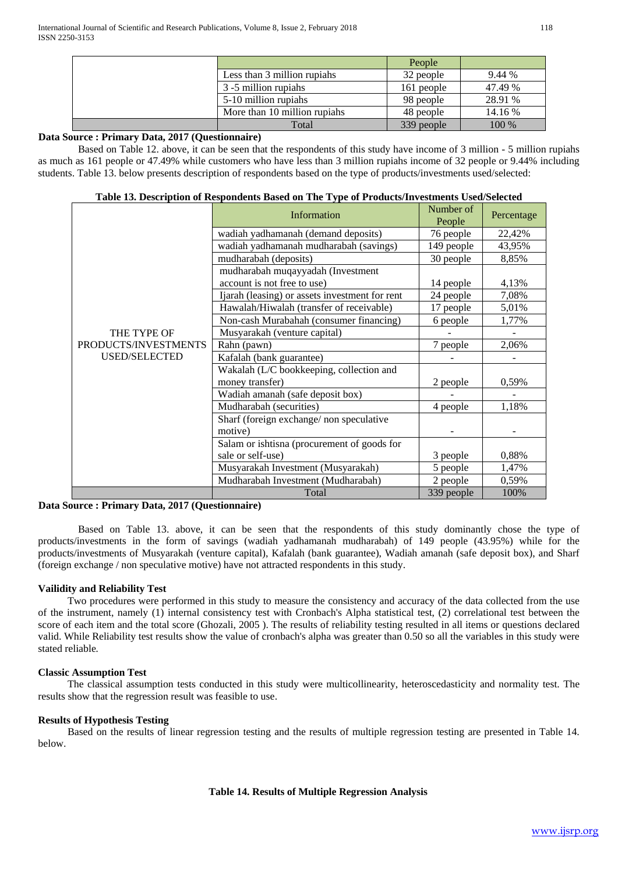|                              | People     |         |
|------------------------------|------------|---------|
| Less than 3 million rupiahs  | 32 people  | 9.44 %  |
| 3 -5 million rupiahs         | 161 people | 47.49 % |
| 5-10 million rupiahs         | 98 people  | 28.91 % |
| More than 10 million rupiahs | 48 people  | 14.16 % |
| Total                        | 339 people | 100 %   |

## **Data Source : Primary Data, 2017 (Questionnaire)**

Based on Table 12. above, it can be seen that the respondents of this study have income of 3 million - 5 million rupiahs as much as 161 people or 47.49% while customers who have less than 3 million rupiahs income of 32 people or 9.44% including students. Table 13. below presents description of respondents based on the type of products/investments used/selected:

|  | Table 13. Description of Respondents Based on The Type of Products/Investments Used/Selected |
|--|----------------------------------------------------------------------------------------------|
|--|----------------------------------------------------------------------------------------------|

|                      | Information                                    | Number of<br>People | Percentage |
|----------------------|------------------------------------------------|---------------------|------------|
|                      | wadiah yadhamanah (demand deposits)            | 76 people           | 22,42%     |
|                      | wadiah yadhamanah mudharabah (savings)         | 149 people          | 43,95%     |
|                      | mudharabah (deposits)                          | 30 people           | 8,85%      |
|                      | mudharabah muqayyadah (Investment              |                     |            |
|                      | account is not free to use)                    | 14 people           | 4,13%      |
|                      | Ijarah (leasing) or assets investment for rent | 24 people           | 7,08%      |
|                      | Hawalah/Hiwalah (transfer of receivable)       | 17 people           | 5,01%      |
|                      | Non-cash Murabahah (consumer financing)        | 6 people            | 1,77%      |
| THE TYPE OF          | Musyarakah (venture capital)                   |                     |            |
| PRODUCTS/INVESTMENTS | Rahn (pawn)                                    | 7 people            | 2,06%      |
| <b>USED/SELECTED</b> | Kafalah (bank guarantee)                       |                     |            |
|                      | Wakalah (L/C bookkeeping, collection and       |                     |            |
|                      | money transfer)                                | 2 people            | 0,59%      |
|                      | Wadiah amanah (safe deposit box)               |                     |            |
|                      | Mudharabah (securities)                        | 4 people            | 1,18%      |
|                      | Sharf (foreign exchange/non speculative        |                     |            |
|                      | motive)                                        |                     |            |
|                      | Salam or ishtisna (procurement of goods for    |                     |            |
|                      | sale or self-use)                              | 3 people            | 0,88%      |
|                      | Musyarakah Investment (Musyarakah)             | 5 people            | 1,47%      |
|                      | Mudharabah Investment (Mudharabah)             | 2 people            | 0,59%      |
|                      | Total                                          | 339 people          | 100%       |

## **Data Source : Primary Data, 2017 (Questionnaire)**

Based on Table 13. above, it can be seen that the respondents of this study dominantly chose the type of products/investments in the form of savings (wadiah yadhamanah mudharabah) of 149 people (43.95%) while for the products/investments of Musyarakah (venture capital), Kafalah (bank guarantee), Wadiah amanah (safe deposit box), and Sharf (foreign exchange / non speculative motive) have not attracted respondents in this study.

## **Vailidity and Reliability Test**

Two procedures were performed in this study to measure the consistency and accuracy of the data collected from the use of the instrument, namely (1) internal consistency test with Cronbach's Alpha statistical test, (2) correlational test between the score of each item and the total score (Ghozali, 2005 ). The results of reliability testing resulted in all items or questions declared valid. While Reliability test results show the value of cronbach's alpha was greater than 0.50 so all the variables in this study were stated reliable*.* 

## **Classic Assumption Test**

The classical assumption tests conducted in this study were multicollinearity, heteroscedasticity and normality test. The results show that the regression result was feasible to use.

## **Results of Hypothesis Testing**

Based on the results of linear regression testing and the results of multiple regression testing are presented in Table 14. below.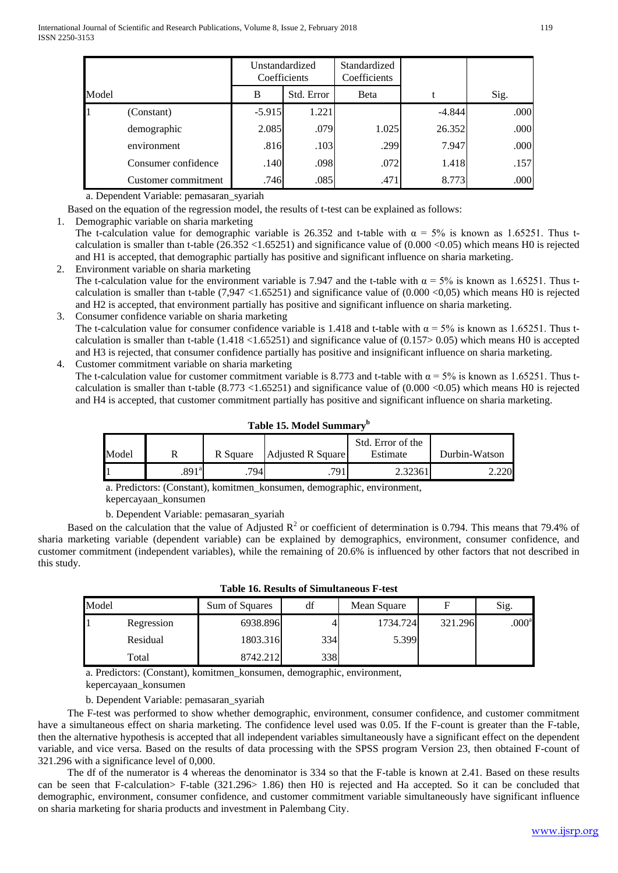|       |                     |          | Unstandardized<br>Coefficients | Standardized<br>Coefficients |          |      |
|-------|---------------------|----------|--------------------------------|------------------------------|----------|------|
| Model |                     | B        | Std. Error                     | <b>B</b> eta                 |          | Sig. |
|       | (Constant)          | $-5.915$ | 1.221                          |                              | $-4.844$ | .000 |
|       | demographic         | 2.085    | .079                           | 1.025                        | 26.352   | .000 |
|       | environment         | .816     | .103                           | .299                         | 7.947    | .000 |
|       | Consumer confidence | .140     | .098                           | .072                         | 1.418    | .157 |
|       | Customer commitment | .746     | .085                           | .471                         | 8.773    | .000 |

a. Dependent Variable: pemasaran\_syariah

Based on the equation of the regression model, the results of t-test can be explained as follows:

1. Demographic variable on sharia marketing

The t-calculation value for demographic variable is 26.352 and t-table with  $\alpha = 5\%$  is known as 1.65251. Thus tcalculation is smaller than t-table  $(26.352 \le 1.65251)$  and significance value of  $(0.000 \le 0.05)$  which means H0 is rejected and H1 is accepted, that demographic partially has positive and significant influence on sharia marketing.

- 2. Environment variable on sharia marketing The t-calculation value for the environment variable is 7.947 and the t-table with  $\alpha = 5\%$  is known as 1.65251. Thus tcalculation is smaller than t-table  $(7,947 < 1.65251)$  and significance value of  $(0.000 < 0.05)$  which means H0 is rejected and H2 is accepted, that environment partially has positive and significant influence on sharia marketing.
- 3. Consumer confidence variable on sharia marketing The t-calculation value for consumer confidence variable is 1.418 and t-table with  $\alpha = 5\%$  is known as 1.65251. Thus tcalculation is smaller than t-table  $(1.418 \times 1.65251)$  and significance value of  $(0.157 \times 0.05)$  which means H0 is accepted and H3 is rejected, that consumer confidence partially has positive and insignificant influence on sharia marketing.
- 4. Customer commitment variable on sharia marketing The t-calculation value for customer commitment variable is 8.773 and t-table with  $\alpha = 5\%$  is known as 1.65251. Thus tcalculation is smaller than t-table  $(8.773 \times 1.65251)$  and significance value of  $(0.000 \times 0.05)$  which means H0 is rejected and H4 is accepted, that customer commitment partially has positive and significant influence on sharia marketing.

| Model | R                 | R Square | <b>Adjusted R Square</b> | Std. Error of the<br>Estimate | Durbin-Watson |
|-------|-------------------|----------|--------------------------|-------------------------------|---------------|
|       |                   |          |                          |                               |               |
|       | .891 <sup>a</sup> | 794.     | 791                      | 2.32361                       | 220           |

**Table 15. Model Summary<sup>b</sup>**

a. Predictors: (Constant), komitmen\_konsumen, demographic, environment, kepercayaan\_konsumen

b. Dependent Variable: pemasaran\_syariah

Based on the calculation that the value of Adjusted  $R^2$  or coefficient of determination is 0.794. This means that 79.4% of sharia marketing variable (dependent variable) can be explained by demographics, environment, consumer confidence, and customer commitment (independent variables), while the remaining of 20.6% is influenced by other factors that not described in this study.

| Model |            | Sum of Squares | df  | Mean Square | F       | Sig.              |
|-------|------------|----------------|-----|-------------|---------|-------------------|
|       | Regression | 6938.896       |     | 1734.724    | 321.296 | .000 <sup>a</sup> |
|       | Residual   | 1803.316       | 334 | 5.399       |         |                   |
|       | Total      | 8742.212       | 338 |             |         |                   |

| <b>Table 16. Results of Simultaneous F-test</b> |  |  |  |  |  |
|-------------------------------------------------|--|--|--|--|--|
|-------------------------------------------------|--|--|--|--|--|

a. Predictors: (Constant), komitmen\_konsumen, demographic, environment, kepercayaan\_konsumen

b. Dependent Variable: pemasaran\_syariah

The F-test was performed to show whether demographic, environment, consumer confidence, and customer commitment have a simultaneous effect on sharia marketing. The confidence level used was 0.05. If the F-count is greater than the F-table, then the alternative hypothesis is accepted that all independent variables simultaneously have a significant effect on the dependent variable, and vice versa. Based on the results of data processing with the SPSS program Version 23, then obtained F-count of 321.296 with a significance level of 0,000.

The df of the numerator is 4 whereas the denominator is 334 so that the F-table is known at 2.41. Based on these results can be seen that F-calculation> F-table (321.296> 1.86) then H0 is rejected and Ha accepted. So it can be concluded that demographic, environment, consumer confidence, and customer commitment variable simultaneously have significant influence on sharia marketing for sharia products and investment in Palembang City.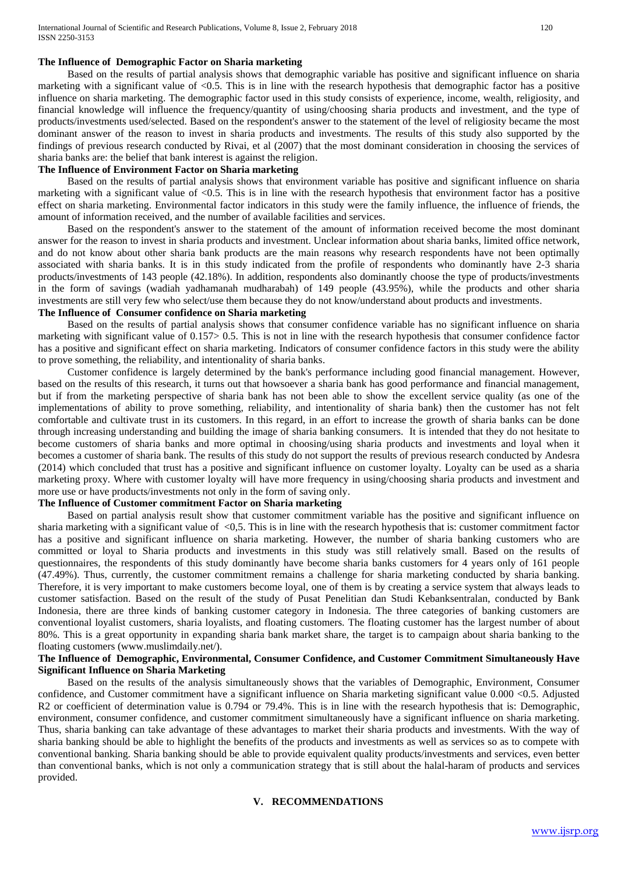#### **The Influence of Demographic Factor on Sharia marketing**

Based on the results of partial analysis shows that demographic variable has positive and significant influence on sharia marketing with a significant value of  $\leq 0.5$ . This is in line with the research hypothesis that demographic factor has a positive influence on sharia marketing. The demographic factor used in this study consists of experience, income, wealth, religiosity, and financial knowledge will influence the frequency/quantity of using/choosing sharia products and investment, and the type of products/investments used/selected. Based on the respondent's answer to the statement of the level of religiosity became the most dominant answer of the reason to invest in sharia products and investments. The results of this study also supported by the findings of previous research conducted by Rivai, et al (2007) that the most dominant consideration in choosing the services of sharia banks are: the belief that bank interest is against the religion.

#### **The Influence of Environment Factor on Sharia marketing**

Based on the results of partial analysis shows that environment variable has positive and significant influence on sharia marketing with a significant value of <0.5. This is in line with the research hypothesis that environment factor has a positive effect on sharia marketing. Environmental factor indicators in this study were the family influence, the influence of friends, the amount of information received, and the number of available facilities and services.

Based on the respondent's answer to the statement of the amount of information received become the most dominant answer for the reason to invest in sharia products and investment. Unclear information about sharia banks, limited office network, and do not know about other sharia bank products are the main reasons why research respondents have not been optimally associated with sharia banks. It is in this study indicated from the profile of respondents who dominantly have 2-3 sharia products/investments of 143 people (42.18%). In addition, respondents also dominantly choose the type of products/investments in the form of savings (wadiah yadhamanah mudharabah) of 149 people (43.95%), while the products and other sharia investments are still very few who select/use them because they do not know/understand about products and investments.

#### **The Influence of Consumer confidence on Sharia marketing**

Based on the results of partial analysis shows that consumer confidence variable has no significant influence on sharia marketing with significant value of 0.157> 0.5. This is not in line with the research hypothesis that consumer confidence factor has a positive and significant effect on sharia marketing. Indicators of consumer confidence factors in this study were the ability to prove something, the reliability, and intentionality of sharia banks.

Customer confidence is largely determined by the bank's performance including good financial management. However, based on the results of this research, it turns out that howsoever a sharia bank has good performance and financial management, but if from the marketing perspective of sharia bank has not been able to show the excellent service quality (as one of the implementations of ability to prove something, reliability, and intentionality of sharia bank) then the customer has not felt comfortable and cultivate trust in its customers. In this regard, in an effort to increase the growth of sharia banks can be done through increasing understanding and building the image of sharia banking consumers. It is intended that they do not hesitate to become customers of sharia banks and more optimal in choosing/using sharia products and investments and loyal when it becomes a customer of sharia bank. The results of this study do not support the results of previous research conducted by Andesra (2014) which concluded that trust has a positive and significant influence on customer loyalty. Loyalty can be used as a sharia marketing proxy. Where with customer loyalty will have more frequency in using/choosing sharia products and investment and more use or have products/investments not only in the form of saving only.

## **The Influence of Customer commitment Factor on Sharia marketing**

Based on partial analysis result show that customer commitment variable has the positive and significant influence on sharia marketing with a significant value of  $\langle 0, 5, 0 \rangle$ . This is in line with the research hypothesis that is: customer commitment factor has a positive and significant influence on sharia marketing. However, the number of sharia banking customers who are committed or loyal to Sharia products and investments in this study was still relatively small. Based on the results of questionnaires, the respondents of this study dominantly have become sharia banks customers for 4 years only of 161 people (47.49%). Thus, currently, the customer commitment remains a challenge for sharia marketing conducted by sharia banking. Therefore, it is very important to make customers become loyal, one of them is by creating a service system that always leads to customer satisfaction. Based on the result of the study of Pusat Penelitian dan Studi Kebanksentralan, conducted by Bank Indonesia, there are three kinds of banking customer category in Indonesia. The three categories of banking customers are conventional loyalist customers, sharia loyalists, and floating customers. The floating customer has the largest number of about 80%. This is a great opportunity in expanding sharia bank market share, the target is to campaign about sharia banking to the floating customers (www.muslimdaily.net/).

## **The Influence of Demographic, Environmental, Consumer Confidence, and Customer Commitment Simultaneously Have Significant Influence on Sharia Marketing**

Based on the results of the analysis simultaneously shows that the variables of Demographic, Environment, Consumer confidence, and Customer commitment have a significant influence on Sharia marketing significant value 0.000 <0.5. Adjusted R2 or coefficient of determination value is 0.794 or 79.4%. This is in line with the research hypothesis that is: Demographic, environment, consumer confidence, and customer commitment simultaneously have a significant influence on sharia marketing. Thus, sharia banking can take advantage of these advantages to market their sharia products and investments. With the way of sharia banking should be able to highlight the benefits of the products and investments as well as services so as to compete with conventional banking. Sharia banking should be able to provide equivalent quality products/investments and services, even better than conventional banks, which is not only a communication strategy that is still about the halal-haram of products and services provided.

#### **V. RECOMMENDATIONS**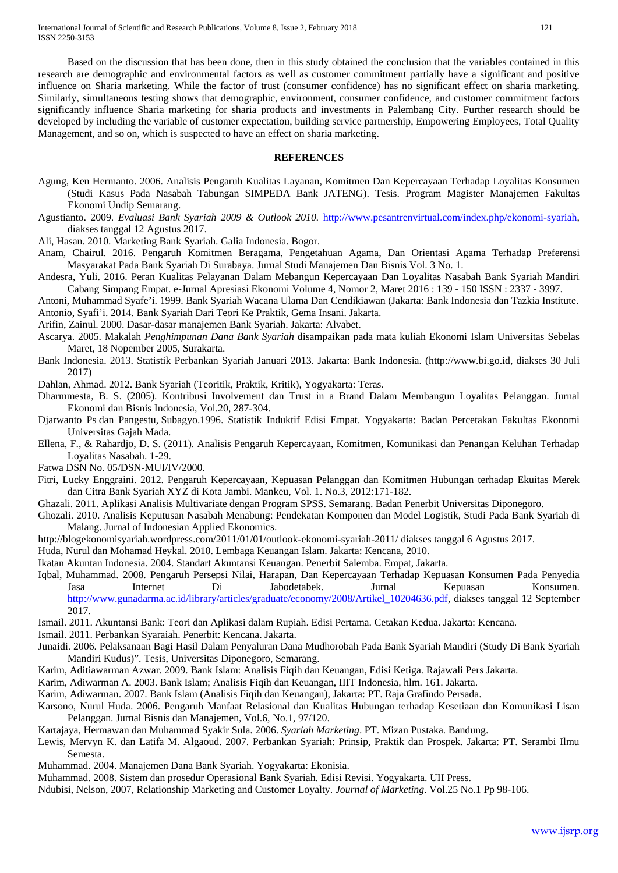Based on the discussion that has been done, then in this study obtained the conclusion that the variables contained in this research are demographic and environmental factors as well as customer commitment partially have a significant and positive influence on Sharia marketing. While the factor of trust (consumer confidence) has no significant effect on sharia marketing. Similarly, simultaneous testing shows that demographic, environment, consumer confidence, and customer commitment factors significantly influence Sharia marketing for sharia products and investments in Palembang City. Further research should be developed by including the variable of customer expectation, building service partnership, Empowering Employees, Total Quality Management, and so on, which is suspected to have an effect on sharia marketing.

#### **REFERENCES**

- Agung, Ken Hermanto. 2006. Analisis Pengaruh Kualitas Layanan, Komitmen Dan Kepercayaan Terhadap Loyalitas Konsumen (Studi Kasus Pada Nasabah Tabungan SIMPEDA Bank JATENG). Tesis. Program Magister Manajemen Fakultas Ekonomi Undip Semarang.
- Agustianto. 2009. *Evaluasi Bank Syariah 2009 & Outlook 2010.* [http://www.pesantrenvirtual.com/index.php/ekonomi-syariah,](http://www.pesantrenvirtual.com/index.php/ekonomi-syariah) diakses tanggal 12 Agustus 2017.

Ali, Hasan. 2010. Marketing Bank Syariah. Galia Indonesia. Bogor.

- Anam, Chairul. 2016. Pengaruh Komitmen Beragama, Pengetahuan Agama, Dan Orientasi Agama Terhadap Preferensi Masyarakat Pada Bank Syariah Di Surabaya. Jurnal Studi Manajemen Dan Bisnis Vol. 3 No. 1.
- Andesra, Yuli. 2016. Peran Kualitas Pelayanan Dalam Mebangun Kepercayaan Dan Loyalitas Nasabah Bank Syariah Mandiri Cabang Simpang Empat. e-Jurnal Apresiasi Ekonomi Volume 4, Nomor 2, Maret 2016 : 139 - 150 ISSN : 2337 - 3997.
- Antoni, Muhammad Syafe'i. 1999. Bank Syariah Wacana Ulama Dan Cendikiawan (Jakarta: Bank Indonesia dan Tazkia Institute.
- Antonio, Syafi'i. 2014. Bank Syariah Dari Teori Ke Praktik, Gema Insani. Jakarta.

Arifin, Zainul. 2000. Dasar-dasar manajemen Bank Syariah. Jakarta: Alvabet.

- Ascarya. 2005. Makalah *Penghimpunan Dana Bank Syariah* disampaikan pada mata kuliah Ekonomi Islam Universitas Sebelas Maret, 18 Nopember 2005, Surakarta.
- Bank Indonesia. 2013. Statistik Perbankan Syariah Januari 2013. Jakarta: Bank Indonesia. (http://www.bi.go.id, diakses 30 Juli 2017)

Dahlan, Ahmad. 2012. Bank Syariah (Teoritik, Praktik, Kritik), Yogyakarta: Teras.

- Dharmmesta, B. S. (2005). Kontribusi Involvement dan Trust in a Brand Dalam Membangun Loyalitas Pelanggan. Jurnal Ekonomi dan Bisnis Indonesia, Vol.20, 287-304.
- Djarwanto Ps dan Pangestu, Subagyo.1996. Statistik Induktif Edisi Empat. Yogyakarta: Badan Percetakan Fakultas Ekonomi Universitas Gajah Mada.
- Ellena, F., & Rahardjo, D. S. (2011). Analisis Pengaruh Kepercayaan, Komitmen, Komunikasi dan Penangan Keluhan Terhadap Loyalitas Nasabah. 1-29.
- Fatwa DSN No. 05/DSN-MUI/IV/2000.
- Fitri, Lucky Enggraini. 2012. Pengaruh Kepercayaan, Kepuasan Pelanggan dan Komitmen Hubungan terhadap Ekuitas Merek dan Citra Bank Syariah XYZ di Kota Jambi. Mankeu, Vol. 1. No.3, 2012:171-182.
- Ghazali. 2011. Aplikasi Analisis Multivariate dengan Program SPSS. Semarang. Badan Penerbit Universitas Diponegoro.
- Ghozali. 2010. Analisis Keputusan Nasabah Menabung: Pendekatan Komponen dan Model Logistik, Studi Pada Bank Syariah di Malang. Jurnal of Indonesian Applied Ekonomics.
- http://blogekonomisyariah.wordpress.com/2011/01/01/outlook-ekonomi-syariah-2011/ diakses tanggal 6 Agustus 2017.
- Huda, Nurul dan Mohamad Heykal. 2010. Lembaga Keuangan Islam. Jakarta: Kencana, 2010.
- Ikatan Akuntan Indonesia. 2004. Standart Akuntansi Keuangan. Penerbit Salemba. Empat, Jakarta.
- Iqbal, Muhammad. 2008. Pengaruh Persepsi Nilai, Harapan, Dan Kepercayaan Terhadap Kepuasan Konsumen Pada Penyedia Jasa Internet Di Jabodetabek. Jurnal Kepuasan Konsumen. [http://www.gunadarma.ac.id/library/articles/graduate/economy/2008/Artikel\\_10204636.pdf,](http://www.gunadarma.ac.id/library/articles/graduate/economy/2008/Artikel_10204636.pdf) diakses tanggal 12 September 2017.
- Ismail. 2011. Akuntansi Bank: Teori dan Aplikasi dalam Rupiah. Edisi Pertama. Cetakan Kedua. Jakarta: Kencana.
- Ismail. 2011. Perbankan Syaraiah. Penerbit: Kencana. Jakarta.
- Junaidi. 2006. Pelaksanaan Bagi Hasil Dalam Penyaluran Dana Mudhorobah Pada Bank Syariah Mandiri (Study Di Bank Syariah Mandiri Kudus)". Tesis, Universitas Diponegoro, Semarang.
- Karim, Aditiawarman Azwar. 2009. Bank Islam: Analisis Fiqih dan Keuangan, Edisi Ketiga. Rajawali Pers Jakarta.

Karim, Adiwarman A. 2003. Bank Islam; Analisis Fiqih dan Keuangan, IIIT Indonesia, hlm. 161. Jakarta.

Karim, Adiwarman. 2007. Bank Islam (Analisis Fiqih dan Keuangan), Jakarta: PT. Raja Grafindo Persada.

Karsono, Nurul Huda. 2006. Pengaruh Manfaat Relasional dan Kualitas Hubungan terhadap Kesetiaan dan Komunikasi Lisan Pelanggan. Jurnal Bisnis dan Manajemen, Vol.6, No.1, 97/120.

Kartajaya, Hermawan dan Muhammad Syakir Sula. 2006. *Syariah Marketing*. PT. Mizan Pustaka. Bandung.

- Lewis, Mervyn K. dan Latifa M. Algaoud. 2007. Perbankan Syariah: Prinsip, Praktik dan Prospek. Jakarta: PT. Serambi Ilmu Semesta.
- Muhammad. 2004. Manajemen Dana Bank Syariah. Yogyakarta: Ekonisia.

Muhammad. 2008. Sistem dan prosedur Operasional Bank Syariah. Edisi Revisi. Yogyakarta. UII Press.

Ndubisi, Nelson, 2007, Relationship Marketing and Customer Loyalty. *Journal of Marketing*. Vol.25 No.1 Pp 98-106.